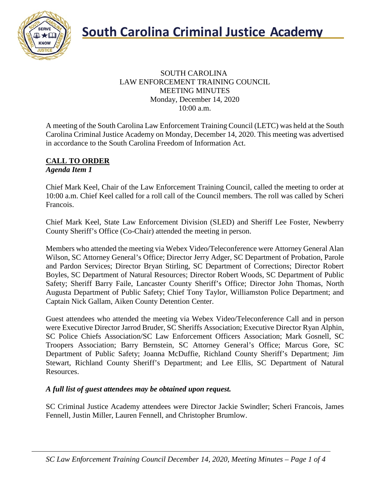

### SOUTH CAROLINA LAW ENFORCEMENT TRAINING COUNCIL MEETING MINUTES Monday, December 14, 2020 10:00 a.m.

A meeting of the South Carolina Law Enforcement Training Council (LETC) was held at the South Carolina Criminal Justice Academy on Monday, December 14, 2020. This meeting was advertised in accordance to the South Carolina Freedom of Information Act.

#### **CALL TO ORDER** *Agenda Item 1*

Chief Mark Keel, Chair of the Law Enforcement Training Council, called the meeting to order at 10:00 a.m. Chief Keel called for a roll call of the Council members. The roll was called by Scheri Francois.

Chief Mark Keel, State Law Enforcement Division (SLED) and Sheriff Lee Foster, Newberry County Sheriff's Office (Co-Chair) attended the meeting in person.

Members who attended the meeting via Webex Video/Teleconference were Attorney General Alan Wilson, SC Attorney General's Office; Director Jerry Adger, SC Department of Probation, Parole and Pardon Services; Director Bryan Stirling, SC Department of Corrections; Director Robert Boyles, SC Department of Natural Resources; Director Robert Woods, SC Department of Public Safety; Sheriff Barry Faile, Lancaster County Sheriff's Office; Director John Thomas, North Augusta Department of Public Safety; Chief Tony Taylor, Williamston Police Department; and Captain Nick Gallam, Aiken County Detention Center.

Guest attendees who attended the meeting via Webex Video/Teleconference Call and in person were Executive Director Jarrod Bruder, SC Sheriffs Association; Executive Director Ryan Alphin, SC Police Chiefs Association/SC Law Enforcement Officers Association; Mark Gosnell, SC Troopers Association; Barry Bernstein, SC Attorney General's Office; Marcus Gore, SC Department of Public Safety; Joanna McDuffie, Richland County Sheriff's Department; Jim Stewart, Richland County Sheriff's Department; and Lee Ellis, SC Department of Natural Resources.

# *A full list of guest attendees may be obtained upon request.*

SC Criminal Justice Academy attendees were Director Jackie Swindler; Scheri Francois, James Fennell, Justin Miller, Lauren Fennell, and Christopher Brumlow.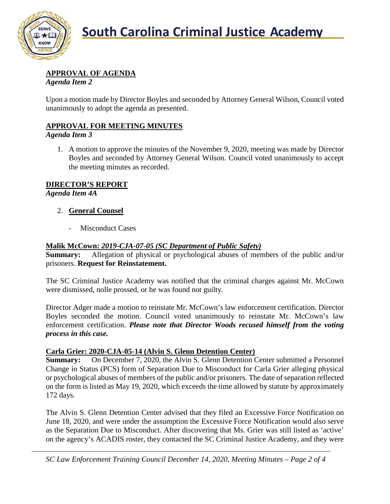

# **APPROVAL OF AGENDA**

*Agenda Item 2*

Upon a motion made by Director Boyles and seconded by Attorney General Wilson, Council voted unanimously to adopt the agenda as presented.

# **APPROVAL FOR MEETING MINUTES**

### *Agenda Item 3*

1. A motion to approve the minutes of the November 9, 2020, meeting was made by Director Boyles and seconded by Attorney General Wilson. Council voted unanimously to accept the meeting minutes as recorded.

# **DIRECTOR'S REPORT**

*Agenda Item 4A*

# 2. **General Counsel**

Misconduct Cases

### **Malik McCown:** *2019-CJA-07-05 (SC Department of Public Safety)*

**Summary:** Allegation of physical or psychological abuses of members of the public and/or prisoners. **Request for Reinstatement.**

The SC Criminal Justice Academy was notified that the criminal charges against Mr. McCown were dismissed, nolle prossed, or he was found not guilty.

Director Adger made a motion to reinstate Mr. McCown's law enforcement certification. Director Boyles seconded the motion. Council voted unanimously to reinstate Mr. McCown's law enforcement certification. *Please note that Director Woods recused himself from the voting process in this case.*

# **Carla Grier: 2020-CJA-05-14 (Alvin S. Glenn Detention Center)**

**Summary:** On December 7, 2020, the Alvin S. Glenn Detention Center submitted a Personnel Change in Status (PCS) form of Separation Due to Misconduct for Carla Grier alleging physical or psychological abuses of members of the public and/or prisoners. The date of separation reflected on the form is listed as May 19, 2020, which exceeds the time allowed by statute by approximately 172 days.

The Alvin S. Glenn Detention Center advised that they filed an Excessive Force Notification on June 18, 2020, and were under the assumption the Excessive Force Notification would also serve as the Separation Due to Misconduct. After discovering that Ms. Grier was still listed as 'active' on the agency's ACADIS roster, they contacted the SC Criminal Justice Academy, and they were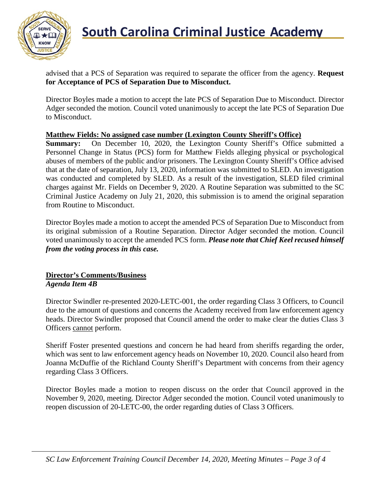

advised that a PCS of Separation was required to separate the officer from the agency. **Request for Acceptance of PCS of Separation Due to Misconduct.**

Director Boyles made a motion to accept the late PCS of Separation Due to Misconduct. Director Adger seconded the motion. Council voted unanimously to accept the late PCS of Separation Due to Misconduct.

### **Matthew Fields: No assigned case number (Lexington County Sheriff's Office)**

**Summary:** On December 10, 2020, the Lexington County Sheriff's Office submitted a Personnel Change in Status (PCS) form for Matthew Fields alleging physical or psychological abuses of members of the public and/or prisoners. The Lexington County Sheriff's Office advised that at the date of separation, July 13, 2020, information was submitted to SLED. An investigation was conducted and completed by SLED. As a result of the investigation, SLED filed criminal charges against Mr. Fields on December 9, 2020. A Routine Separation was submitted to the SC Criminal Justice Academy on July 21, 2020, this submission is to amend the original separation from Routine to Misconduct.

Director Boyles made a motion to accept the amended PCS of Separation Due to Misconduct from its original submission of a Routine Separation. Director Adger seconded the motion. Council voted unanimously to accept the amended PCS form. *Please note that Chief Keel recused himself from the voting process in this case.*

#### **Director's Comments/Business** *Agenda Item 4B*

Director Swindler re-presented 2020-LETC-001, the order regarding Class 3 Officers, to Council due to the amount of questions and concerns the Academy received from law enforcement agency heads. Director Swindler proposed that Council amend the order to make clear the duties Class 3 Officers cannot perform.

Sheriff Foster presented questions and concern he had heard from sheriffs regarding the order, which was sent to law enforcement agency heads on November 10, 2020. Council also heard from Joanna McDuffie of the Richland County Sheriff's Department with concerns from their agency regarding Class 3 Officers.

Director Boyles made a motion to reopen discuss on the order that Council approved in the November 9, 2020, meeting. Director Adger seconded the motion. Council voted unanimously to reopen discussion of 20-LETC-00, the order regarding duties of Class 3 Officers.